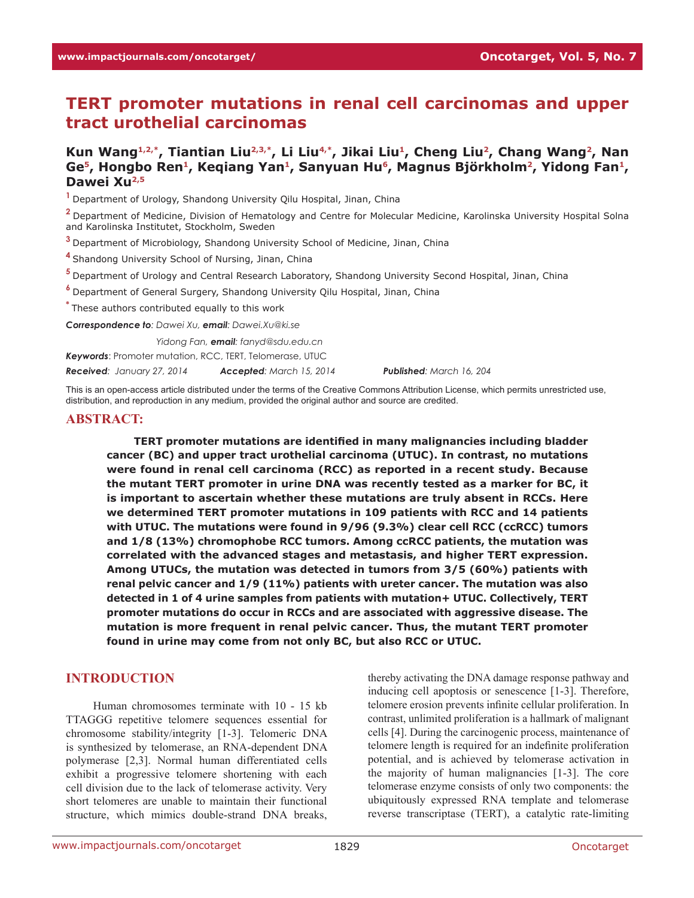# **TERT promoter mutations in renal cell carcinomas and upper tract urothelial carcinomas**

# **Kun Wang1,2,\*, Tiantian Liu2,3,\*, Li Liu4,\*, Jikai Liu1, Cheng Liu2, Chang Wang2, Nan**  Ge<sup>5</sup>, Hongbo Ren<sup>1</sup>, Keqiang Yan<sup>1</sup>, Sanyuan Hu<sup>6</sup>, Magnus Björkholm<sup>2</sup>, Yidong Fan<sup>1</sup>, **Dawei Xu2,5**

**<sup>1</sup>**Department of Urology, Shandong University Qilu Hospital, Jinan, China

**<sup>2</sup>**Department of Medicine, Division of Hematology and Centre for Molecular Medicine, Karolinska University Hospital Solna and Karolinska Institutet, Stockholm, Sweden

**<sup>3</sup>**Department of Microbiology, Shandong University School of Medicine, Jinan, China

**<sup>4</sup>**Shandong University School of Nursing, Jinan, China

**<sup>5</sup>**Department of Urology and Central Research Laboratory, Shandong University Second Hospital, Jinan, China

**<sup>6</sup>**Department of General Surgery, Shandong University Qilu Hospital, Jinan, China

**\*** These authors contributed equally to this work

*Correspondence to: Dawei Xu, email: Dawei.Xu@ki.se*

*Correspondence to: Yidong Fan, email: fanyd@sdu.edu.cn*

*Keywords*: Promoter mutation, RCC, TERT, Telomerase, UTUC

*Received: January 27, 2014 Accepted: March 15, 2014 Published: March 16, 204*

This is an open-access article distributed under the terms of the Creative Commons Attribution License, which permits unrestricted use, distribution, and reproduction in any medium, provided the original author and source are credited.

#### **ABSTRACT:**

**TERT promoter mutations are identified in many malignancies including bladder cancer (BC) and upper tract urothelial carcinoma (UTUC). In contrast, no mutations were found in renal cell carcinoma (RCC) as reported in a recent study. Because the mutant TERT promoter in urine DNA was recently tested as a marker for BC, it is important to ascertain whether these mutations are truly absent in RCCs. Here we determined TERT promoter mutations in 109 patients with RCC and 14 patients with UTUC. The mutations were found in 9/96 (9.3%) clear cell RCC (ccRCC) tumors and 1/8 (13%) chromophobe RCC tumors. Among ccRCC patients, the mutation was correlated with the advanced stages and metastasis, and higher TERT expression. Among UTUCs, the mutation was detected in tumors from 3/5 (60%) patients with renal pelvic cancer and 1/9 (11%) patients with ureter cancer. The mutation was also detected in 1 of 4 urine samples from patients with mutation+ UTUC. Collectively, TERT promoter mutations do occur in RCCs and are associated with aggressive disease. The mutation is more frequent in renal pelvic cancer. Thus, the mutant TERT promoter found in urine may come from not only BC, but also RCC or UTUC.**

### **INTRODUCTION**

Human chromosomes terminate with 10 - 15 kb TTAGGG repetitive telomere sequences essential for chromosome stability/integrity [1-3]. Telomeric DNA is synthesized by telomerase, an RNA-dependent DNA polymerase [2,3]. Normal human differentiated cells exhibit a progressive telomere shortening with each cell division due to the lack of telomerase activity. Very short telomeres are unable to maintain their functional structure, which mimics double-strand DNA breaks,

thereby activating the DNA damage response pathway and inducing cell apoptosis or senescence [1-3]. Therefore, telomere erosion prevents infinite cellular proliferation. In contrast, unlimited proliferation is a hallmark of malignant cells [4]. During the carcinogenic process, maintenance of telomere length is required for an indefinite proliferation potential, and is achieved by telomerase activation in the majority of human malignancies [1-3]. The core telomerase enzyme consists of only two components: the ubiquitously expressed RNA template and telomerase reverse transcriptase (TERT), a catalytic rate-limiting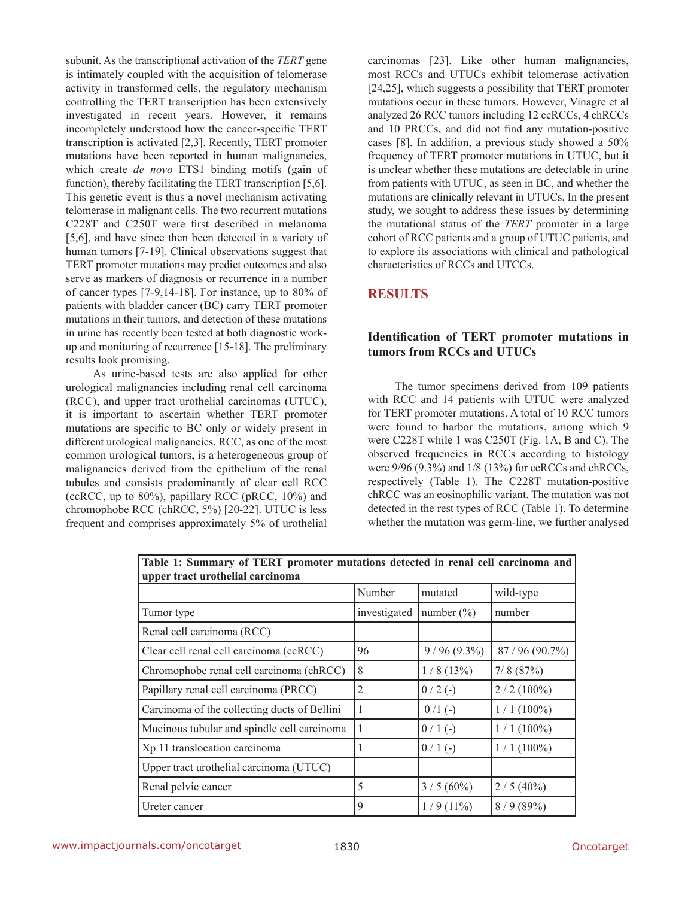subunit. As the transcriptional activation of the *TERT* gene is intimately coupled with the acquisition of telomerase activity in transformed cells, the regulatory mechanism controlling the TERT transcription has been extensively investigated in recent years. However, it remains incompletely understood how the cancer-specific TERT transcription is activated [2,3]. Recently, TERT promoter mutations have been reported in human malignancies, which create *de novo* ETS1 binding motifs (gain of function), thereby facilitating the TERT transcription [5,6]. This genetic event is thus a novel mechanism activating telomerase in malignant cells. The two recurrent mutations C228T and C250T were first described in melanoma [5,6], and have since then been detected in a variety of human tumors [7-19]. Clinical observations suggest that TERT promoter mutations may predict outcomes and also serve as markers of diagnosis or recurrence in a number of cancer types [7-9,14-18]. For instance, up to 80% of patients with bladder cancer (BC) carry TERT promoter mutations in their tumors, and detection of these mutations in urine has recently been tested at both diagnostic workup and monitoring of recurrence [15-18]. The preliminary results look promising.

As urine-based tests are also applied for other urological malignancies including renal cell carcinoma (RCC), and upper tract urothelial carcinomas (UTUC), it is important to ascertain whether TERT promoter mutations are specific to BC only or widely present in different urological malignancies. RCC, as one of the most common urological tumors, is a heterogeneous group of malignancies derived from the epithelium of the renal tubules and consists predominantly of clear cell RCC (ccRCC, up to 80%), papillary RCC (pRCC, 10%) and chromophobe RCC (chRCC, 5%) [20-22]. UTUC is less frequent and comprises approximately 5% of urothelial

carcinomas [23]. Like other human malignancies, most RCCs and UTUCs exhibit telomerase activation [24,25], which suggests a possibility that TERT promoter mutations occur in these tumors. However, Vinagre et al analyzed 26 RCC tumors including 12 ccRCCs, 4 chRCCs and 10 PRCCs, and did not find any mutation-positive cases [8]. In addition, a previous study showed a 50% frequency of TERT promoter mutations in UTUC, but it is unclear whether these mutations are detectable in urine from patients with UTUC, as seen in BC, and whether the mutations are clinically relevant in UTUCs. In the present study, we sought to address these issues by determining the mutational status of the *TERT* promoter in a large cohort of RCC patients and a group of UTUC patients, and to explore its associations with clinical and pathological characteristics of RCCs and UTCCs.

# **RESULTS**

## **Identification of TERT promoter mutations in tumors from RCCs and UTUCs**

The tumor specimens derived from 109 patients with RCC and 14 patients with UTUC were analyzed for TERT promoter mutations. A total of 10 RCC tumors were found to harbor the mutations, among which 9 were C228T while 1 was C250T (Fig. 1A, B and C). The observed frequencies in RCCs according to histology were 9/96 (9.3%) and 1/8 (13%) for ccRCCs and chRCCs, respectively (Table 1). The C228T mutation-positive chRCC was an eosinophilic variant. The mutation was not detected in the rest types of RCC (Table 1). To determine whether the mutation was germ-line, we further analysed

| upper tract urothelial carcinoma             |              |                |              |  |  |  |  |  |
|----------------------------------------------|--------------|----------------|--------------|--|--|--|--|--|
|                                              | Number       | mutated        | wild-type    |  |  |  |  |  |
| Tumor type                                   | investigated | number $(\% )$ | number       |  |  |  |  |  |
| Renal cell carcinoma (RCC)                   |              |                |              |  |  |  |  |  |
| Clear cell renal cell carcinoma (ccRCC)      | 96           | $9/96(9.3\%)$  | 87/96(90.7%) |  |  |  |  |  |
| Chromophobe renal cell carcinoma (chRCC)     | 8            | 1/8(13%)       | 7/8(87%)     |  |  |  |  |  |
| Papillary renal cell carcinoma (PRCC)        | 2            | $0/2$ (-)      | $2/2(100\%)$ |  |  |  |  |  |
| Carcinoma of the collecting ducts of Bellini | 1            | $0/1$ (-)      | $1/1(100\%)$ |  |  |  |  |  |
| Mucinous tubular and spindle cell carcinoma  | 1            | $0/1$ (-)      | $1/1(100\%)$ |  |  |  |  |  |
| Xp 11 translocation carcinoma                |              | $0/1$ (-)      | $1/1(100\%)$ |  |  |  |  |  |
| Upper tract urothelial carcinoma (UTUC)      |              |                |              |  |  |  |  |  |
| Renal pelvic cancer                          | 5            | $3/5(60\%)$    | $2/5(40\%)$  |  |  |  |  |  |
| Ureter cancer                                | 9            | $1/9(11\%)$    | 8/9(89%)     |  |  |  |  |  |

**Table 1: Summary of TERT promoter mutations detected in renal cell carcinoma and**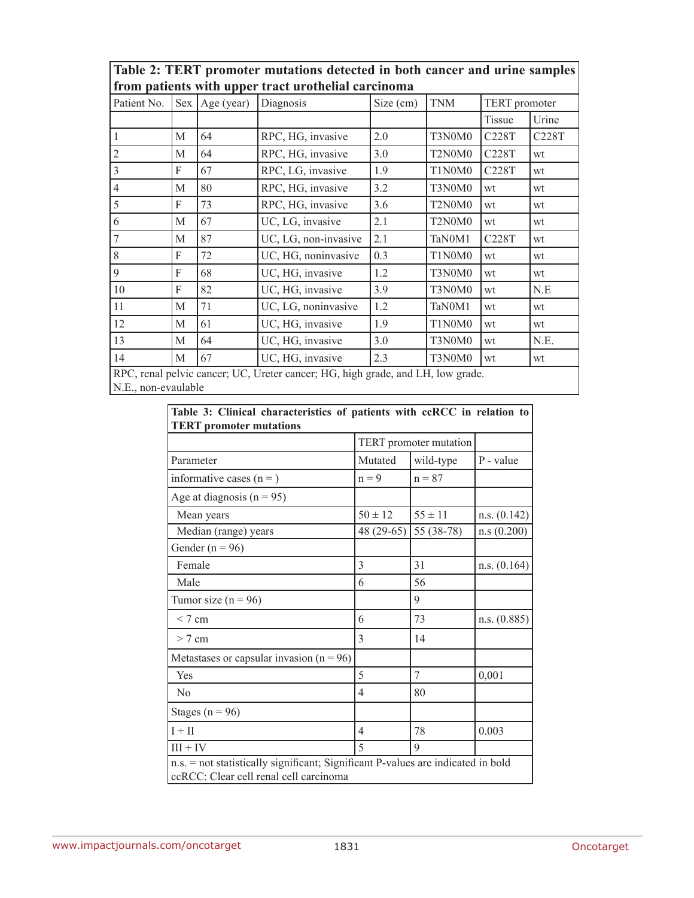| Table 2: TERT promoter mutations detected in both cancer and urine samples |  |  |  |  |
|----------------------------------------------------------------------------|--|--|--|--|
| from patients with upper tract urothelial carcinoma                        |  |  |  |  |

| Patient No.                                                                     | Sex | Age (year) | Diagnosis            | Size (cm) | <b>TNM</b> |        | TERT promoter |  |
|---------------------------------------------------------------------------------|-----|------------|----------------------|-----------|------------|--------|---------------|--|
|                                                                                 |     |            |                      |           |            | Tissue | Urine         |  |
|                                                                                 | M   | 64         | RPC, HG, invasive    | 2.0       | T3N0M0     | C228T  | C228T         |  |
| 2                                                                               | M   | 64         | RPC, HG, invasive    | 3.0       | T2N0M0     | C228T  | wt            |  |
| 3                                                                               | F   | 67         | RPC, LG, invasive    | 1.9       | T1N0M0     | C228T  | wt            |  |
| 4                                                                               | M   | 80         | RPC, HG, invasive    | 3.2       | T3N0M0     | wt     | wt            |  |
| 5                                                                               | F   | 73         | RPC, HG, invasive    | 3.6       | T2N0M0     | wt     | wt            |  |
| 6                                                                               | M   | 67         | UC, LG, invasive     | 2.1       | T2N0M0     | wt     | wt            |  |
|                                                                                 | M   | 87         | UC, LG, non-invasive | 2.1       | TaN0M1     | C228T  | wt            |  |
| 8                                                                               | F   | 72         | UC, HG, noninvasive  | 0.3       | T1N0M0     | wt     | wt            |  |
| 9                                                                               | F   | 68         | UC, HG, invasive     | 1.2       | T3N0M0     | wt     | wt            |  |
| 10                                                                              | F   | 82         | UC, HG, invasive     | 3.9       | T3N0M0     | wt     | N.E           |  |
| 11                                                                              | M   | 71         | UC, LG, noninvasive  | 1.2       | TaN0M1     | wt     | wt            |  |
| 12                                                                              | M   | 61         | UC, HG, invasive     | 1.9       | T1N0M0     | wt     | wt            |  |
| 13                                                                              | M   | 64         | UC, HG, invasive     | 3.0       | T3N0M0     | wt     | N.E.          |  |
| 14                                                                              | M   | 67         | UC, HG, invasive     | 2.3       | T3N0M0     | wt     | wt            |  |
| RPC, renal pelvic cancer; UC, Ureter cancer; HG, high grade, and LH, low grade. |     |            |                      |           |            |        |               |  |

N.E., non-evaulable

|  | Table 3: Clinical characteristics of patients with ccRCC in relation to |  |  |  |  |
|--|-------------------------------------------------------------------------|--|--|--|--|
|  | <b>TERT</b> promoter mutations                                          |  |  |  |  |

| і екі ргошоці шимпону                                                                                                      | TERT promoter mutation |             |              |  |  |  |  |
|----------------------------------------------------------------------------------------------------------------------------|------------------------|-------------|--------------|--|--|--|--|
| Parameter                                                                                                                  | Mutated                | wild-type   | P - value    |  |  |  |  |
| informative cases $(n=)$                                                                                                   | $n = 9$                | $n = 87$    |              |  |  |  |  |
| Age at diagnosis $(n = 95)$                                                                                                |                        |             |              |  |  |  |  |
| Mean years                                                                                                                 | $50 \pm 12$            | $55 \pm 11$ | n.s. (0.142) |  |  |  |  |
| Median (range) years                                                                                                       | 48 (29-65)             | 55 (38-78)  | n.s(0.200)   |  |  |  |  |
| Gender ( $n = 96$ )                                                                                                        |                        |             |              |  |  |  |  |
| Female                                                                                                                     | 3                      | 31          | n.s. (0.164) |  |  |  |  |
| Male                                                                                                                       | 6                      | 56          |              |  |  |  |  |
| Tumor size ( $n = 96$ )                                                                                                    |                        | 9           |              |  |  |  |  |
| < 7 cm                                                                                                                     | 6                      | 73          | n.s. (0.885) |  |  |  |  |
| $> 7$ cm                                                                                                                   | 3                      | 14          |              |  |  |  |  |
| Metastases or capsular invasion $(n = 96)$                                                                                 |                        |             |              |  |  |  |  |
| Yes                                                                                                                        | 5                      | 7           | 0,001        |  |  |  |  |
| N <sub>0</sub>                                                                                                             | 4                      | 80          |              |  |  |  |  |
| Stages ( $n = 96$ )                                                                                                        |                        |             |              |  |  |  |  |
| $I + II$                                                                                                                   | 4                      | 78          | 0.003        |  |  |  |  |
| $III + IV$                                                                                                                 | 5                      | 9           |              |  |  |  |  |
| n.s. = not statistically significant; Significant P-values are indicated in bold<br>ccRCC: Clear cell renal cell carcinoma |                        |             |              |  |  |  |  |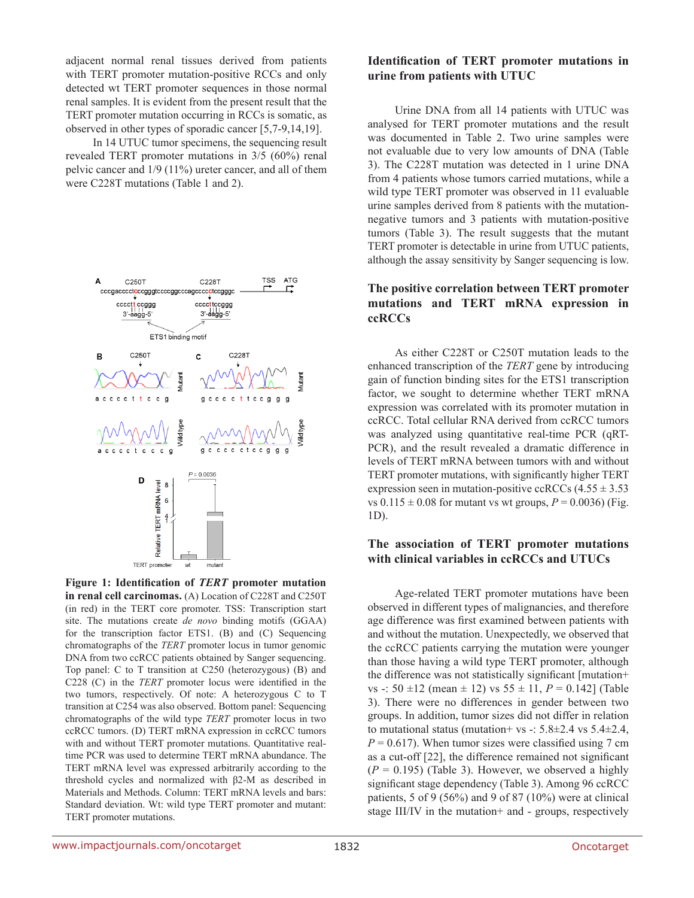adjacent normal renal tissues derived from patients with TERT promoter mutation-positive RCCs and only detected wt TERT promoter sequences in those normal renal samples. It is evident from the present result that the TERT promoter mutation occurring in RCCs is somatic, as observed in other types of sporadic cancer [5,7-9,14,19].

In 14 UTUC tumor specimens, the sequencing result revealed TERT promoter mutations in 3/5 (60%) renal pelvic cancer and 1/9 (11%) ureter cancer, and all of them were C228T mutations (Table 1 and 2).



**Figure 1: Identification of** *TERT* **promoter mutation in renal cell carcinomas.** (A) Location of C228T and C250T (in red) in the TERT core promoter. TSS: Transcription start site. The mutations create *de novo* binding motifs (GGAA) for the transcription factor ETS1. (B) and (C) Sequencing chromatographs of the *TERT* promoter locus in tumor genomic DNA from two ccRCC patients obtained by Sanger sequencing. Top panel: C to T transition at C250 (heterozygous) (B) and C228 (C) in the *TERT* promoter locus were identified in the two tumors, respectively. Of note: A heterozygous C to T transition at C254 was also observed. Bottom panel: Sequencing chromatographs of the wild type *TERT* promoter locus in two ccRCC tumors. (D) TERT mRNA expression in ccRCC tumors with and without TERT promoter mutations. Quantitative realtime PCR was used to determine TERT mRNA abundance. The TERT mRNA level was expressed arbitrarily according to the threshold cycles and normalized with β2-M as described in Materials and Methods. Column: TERT mRNA levels and bars: Standard deviation. Wt: wild type TERT promoter and mutant: TERT promoter mutations.

### **Identification of TERT promoter mutations in urine from patients with UTUC**

Urine DNA from all 14 patients with UTUC was analysed for TERT promoter mutations and the result was documented in Table 2. Two urine samples were not evaluable due to very low amounts of DNA (Table 3). The C228T mutation was detected in 1 urine DNA from 4 patients whose tumors carried mutations, while a wild type TERT promoter was observed in 11 evaluable urine samples derived from 8 patients with the mutationnegative tumors and 3 patients with mutation-positive tumors (Table 3). The result suggests that the mutant TERT promoter is detectable in urine from UTUC patients, although the assay sensitivity by Sanger sequencing is low.

# **The positive correlation between TERT promoter mutations and TERT mRNA expression in ccRCCs**

As either C228T or C250T mutation leads to the enhanced transcription of the *TERT* gene by introducing gain of function binding sites for the ETS1 transcription factor, we sought to determine whether TERT mRNA expression was correlated with its promoter mutation in ccRCC. Total cellular RNA derived from ccRCC tumors was analyzed using quantitative real-time PCR (qRT-PCR), and the result revealed a dramatic difference in levels of TERT mRNA between tumors with and without TERT promoter mutations, with significantly higher TERT expression seen in mutation-positive ccRCCs  $(4.55 \pm 3.53)$ vs  $0.115 \pm 0.08$  for mutant vs wt groups,  $P = 0.0036$ ) (Fig. 1D).

### **The association of TERT promoter mutations with clinical variables in ccRCCs and UTUCs**

Age-related TERT promoter mutations have been observed in different types of malignancies, and therefore age difference was first examined between patients with and without the mutation. Unexpectedly, we observed that the ccRCC patients carrying the mutation were younger than those having a wild type TERT promoter, although the difference was not statistically significant [mutation+ vs -:  $50 \pm 12$  (mean  $\pm 12$ ) vs  $55 \pm 11$ ,  $P = 0.142$ ] (Table 3). There were no differences in gender between two groups. In addition, tumor sizes did not differ in relation to mutational status (mutation+ vs -:  $5.8\pm2.4$  vs  $5.4\pm2.4$ ,  $P = 0.617$ ). When tumor sizes were classified using 7 cm as a cut-off [22], the difference remained not significant  $(P = 0.195)$  (Table 3). However, we observed a highly significant stage dependency (Table 3). Among 96 ccRCC patients, 5 of 9 (56%) and 9 of 87 (10%) were at clinical stage III/IV in the mutation+ and - groups, respectively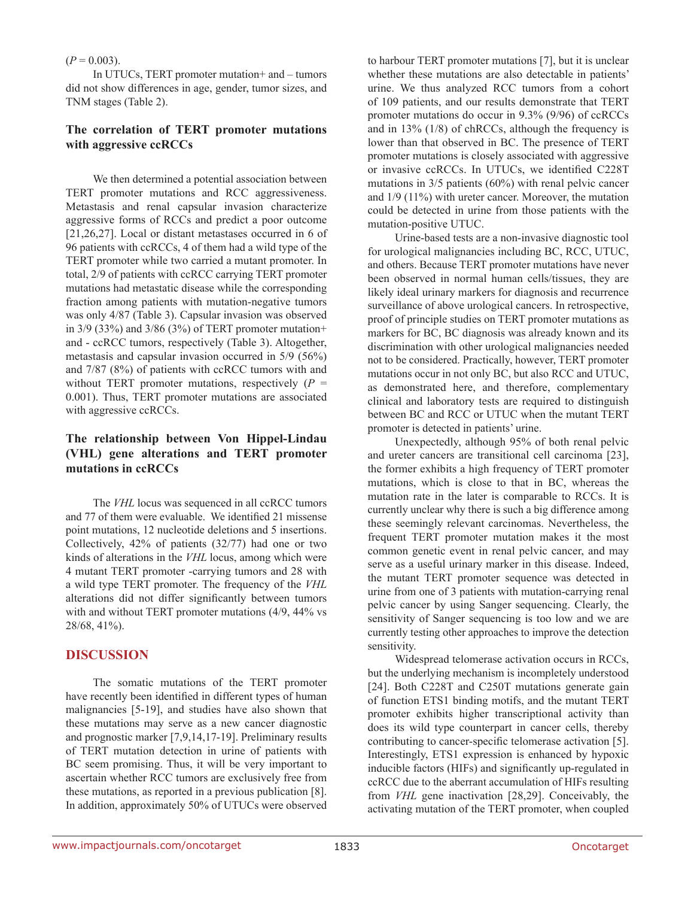### $(P = 0.003)$ .

In UTUCs, TERT promoter mutation+ and – tumors did not show differences in age, gender, tumor sizes, and TNM stages (Table 2).

# **The correlation of TERT promoter mutations with aggressive ccRCCs**

We then determined a potential association between TERT promoter mutations and RCC aggressiveness. Metastasis and renal capsular invasion characterize aggressive forms of RCCs and predict a poor outcome [21,26,27]. Local or distant metastases occurred in 6 of 96 patients with ccRCCs, 4 of them had a wild type of the TERT promoter while two carried a mutant promoter. In total, 2/9 of patients with ccRCC carrying TERT promoter mutations had metastatic disease while the corresponding fraction among patients with mutation-negative tumors was only 4/87 (Table 3). Capsular invasion was observed in  $3/9$  (33%) and  $3/86$  (3%) of TERT promoter mutation+ and - ccRCC tumors, respectively (Table 3). Altogether, metastasis and capsular invasion occurred in 5/9 (56%) and 7/87 (8%) of patients with ccRCC tumors with and without TERT promoter mutations, respectively  $(P =$ 0.001). Thus, TERT promoter mutations are associated with aggressive ccRCCs.

# **The relationship between Von Hippel-Lindau (VHL) gene alterations and TERT promoter mutations in ccRCCs**

The *VHL* locus was sequenced in all ccRCC tumors and 77 of them were evaluable. We identified 21 missense point mutations, 12 nucleotide deletions and 5 insertions. Collectively, 42% of patients (32/77) had one or two kinds of alterations in the *VHL* locus, among which were 4 mutant TERT promoter -carrying tumors and 28 with a wild type TERT promoter. The frequency of the *VHL* alterations did not differ significantly between tumors with and without TERT promoter mutations (4/9, 44% vs 28/68, 41%).

# **DISCUSSION**

The somatic mutations of the TERT promoter have recently been identified in different types of human malignancies [5-19], and studies have also shown that these mutations may serve as a new cancer diagnostic and prognostic marker [7,9,14,17-19]. Preliminary results of TERT mutation detection in urine of patients with BC seem promising. Thus, it will be very important to ascertain whether RCC tumors are exclusively free from these mutations, as reported in a previous publication [8]. In addition, approximately 50% of UTUCs were observed to harbour TERT promoter mutations [7], but it is unclear whether these mutations are also detectable in patients' urine. We thus analyzed RCC tumors from a cohort of 109 patients, and our results demonstrate that TERT promoter mutations do occur in 9.3% (9/96) of ccRCCs and in 13% (1/8) of chRCCs, although the frequency is lower than that observed in BC. The presence of TERT promoter mutations is closely associated with aggressive or invasive ccRCCs. In UTUCs, we identified C228T mutations in 3/5 patients (60%) with renal pelvic cancer and 1/9 (11%) with ureter cancer. Moreover, the mutation could be detected in urine from those patients with the mutation-positive UTUC.

Urine-based tests are a non-invasive diagnostic tool for urological malignancies including BC, RCC, UTUC, and others. Because TERT promoter mutations have never been observed in normal human cells/tissues, they are likely ideal urinary markers for diagnosis and recurrence surveillance of above urological cancers. In retrospective, proof of principle studies on TERT promoter mutations as markers for BC, BC diagnosis was already known and its discrimination with other urological malignancies needed not to be considered. Practically, however, TERT promoter mutations occur in not only BC, but also RCC and UTUC, as demonstrated here, and therefore, complementary clinical and laboratory tests are required to distinguish between BC and RCC or UTUC when the mutant TERT promoter is detected in patients' urine.

Unexpectedly, although 95% of both renal pelvic and ureter cancers are transitional cell carcinoma [23], the former exhibits a high frequency of TERT promoter mutations, which is close to that in BC, whereas the mutation rate in the later is comparable to RCCs. It is currently unclear why there is such a big difference among these seemingly relevant carcinomas. Nevertheless, the frequent TERT promoter mutation makes it the most common genetic event in renal pelvic cancer, and may serve as a useful urinary marker in this disease. Indeed, the mutant TERT promoter sequence was detected in urine from one of 3 patients with mutation-carrying renal pelvic cancer by using Sanger sequencing. Clearly, the sensitivity of Sanger sequencing is too low and we are currently testing other approaches to improve the detection sensitivity.

Widespread telomerase activation occurs in RCCs, but the underlying mechanism is incompletely understood [24]. Both C228T and C250T mutations generate gain of function ETS1 binding motifs, and the mutant TERT promoter exhibits higher transcriptional activity than does its wild type counterpart in cancer cells, thereby contributing to cancer-specific telomerase activation [5]. Interestingly, ETS1 expression is enhanced by hypoxic inducible factors (HIFs) and significantly up-regulated in ccRCC due to the aberrant accumulation of HIFs resulting from *VHL* gene inactivation [28,29]. Conceivably, the activating mutation of the TERT promoter, when coupled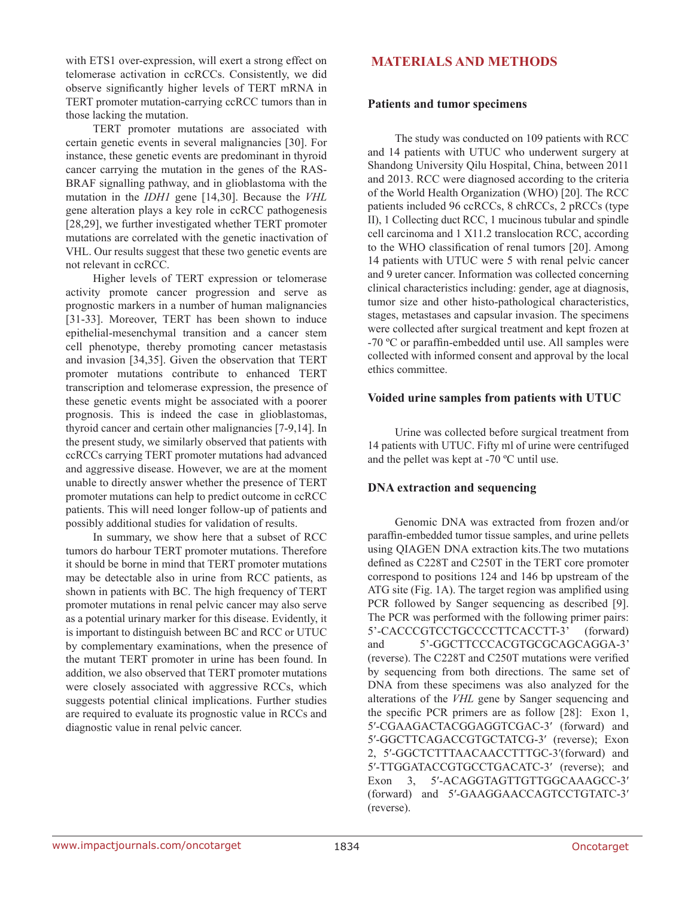with ETS1 over-expression, will exert a strong effect on telomerase activation in ccRCCs. Consistently, we did observe significantly higher levels of TERT mRNA in TERT promoter mutation-carrying ccRCC tumors than in those lacking the mutation.

TERT promoter mutations are associated with certain genetic events in several malignancies [30]. For instance, these genetic events are predominant in thyroid cancer carrying the mutation in the genes of the RAS-BRAF signalling pathway, and in glioblastoma with the mutation in the *IDH1* gene [14,30]. Because the *VHL* gene alteration plays a key role in ccRCC pathogenesis [28,29], we further investigated whether TERT promoter mutations are correlated with the genetic inactivation of VHL. Our results suggest that these two genetic events are not relevant in ccRCC.

Higher levels of TERT expression or telomerase activity promote cancer progression and serve as prognostic markers in a number of human malignancies [31-33]. Moreover, TERT has been shown to induce epithelial-mesenchymal transition and a cancer stem cell phenotype, thereby promoting cancer metastasis and invasion [34,35]. Given the observation that TERT promoter mutations contribute to enhanced TERT transcription and telomerase expression, the presence of these genetic events might be associated with a poorer prognosis. This is indeed the case in glioblastomas, thyroid cancer and certain other malignancies [7-9,14]. In the present study, we similarly observed that patients with ccRCCs carrying TERT promoter mutations had advanced and aggressive disease. However, we are at the moment unable to directly answer whether the presence of TERT promoter mutations can help to predict outcome in ccRCC patients. This will need longer follow-up of patients and possibly additional studies for validation of results.

In summary, we show here that a subset of RCC tumors do harbour TERT promoter mutations. Therefore it should be borne in mind that TERT promoter mutations may be detectable also in urine from RCC patients, as shown in patients with BC. The high frequency of TERT promoter mutations in renal pelvic cancer may also serve as a potential urinary marker for this disease. Evidently, it is important to distinguish between BC and RCC or UTUC by complementary examinations, when the presence of the mutant TERT promoter in urine has been found. In addition, we also observed that TERT promoter mutations were closely associated with aggressive RCCs, which suggests potential clinical implications. Further studies are required to evaluate its prognostic value in RCCs and diagnostic value in renal pelvic cancer.

# **MATERIALS AND METHODS**

### **Patients and tumor specimens**

The study was conducted on 109 patients with RCC and 14 patients with UTUC who underwent surgery at Shandong University Qilu Hospital, China, between 2011 and 2013. RCC were diagnosed according to the criteria of the World Health Organization (WHO) [20]. The RCC patients included 96 ccRCCs, 8 chRCCs, 2 pRCCs (type II), 1 Collecting duct RCC, 1 mucinous tubular and spindle cell carcinoma and 1 X11.2 translocation RCC, according to the WHO classification of renal tumors [20]. Among 14 patients with UTUC were 5 with renal pelvic cancer and 9 ureter cancer. Information was collected concerning clinical characteristics including: gender, age at diagnosis, tumor size and other histo-pathological characteristics, stages, metastases and capsular invasion. The specimens were collected after surgical treatment and kept frozen at -70 ºC or paraffin-embedded until use. All samples were collected with informed consent and approval by the local ethics committee.

### **Voided urine samples from patients with UTUC**

Urine was collected before surgical treatment from 14 patients with UTUC. Fifty ml of urine were centrifuged and the pellet was kept at -70 ºC until use.

### **DNA extraction and sequencing**

Genomic DNA was extracted from frozen and/or paraffin-embedded tumor tissue samples, and urine pellets using QIAGEN DNA extraction kits.The two mutations defined as C228T and C250T in the TERT core promoter correspond to positions 124 and 146 bp upstream of the ATG site (Fig. 1A). The target region was amplified using PCR followed by Sanger sequencing as described [9]. The PCR was performed with the following primer pairs: 5'-CACCCGTCCTGCCCCTTCACCTT-3' (forward) and 5'-GGCTTCCCACGTGCGCAGCAGGA-3' (reverse). The C228T and C250T mutations were verified by sequencing from both directions. The same set of DNA from these specimens was also analyzed for the alterations of the *VHL* gene by Sanger sequencing and the specific PCR primers are as follow [28]: Exon 1, 5′-CGAAGACTACGGAGGTCGAC-3′ (forward) and 5′-GGCTTCAGACCGTGCTATCG-3′ (reverse); Exon 2, 5′-GGCTCTTTAACAACCTTTGC-3′(forward) and 5′-TTGGATACCGTGCCTGACATC-3′ (reverse); and Exon 3, 5'-ACAGGTAGTTGTTGGCAAAGCC-3' (forward) and 5′-GAAGGAACCAGTCCTGTATC-3′ (reverse).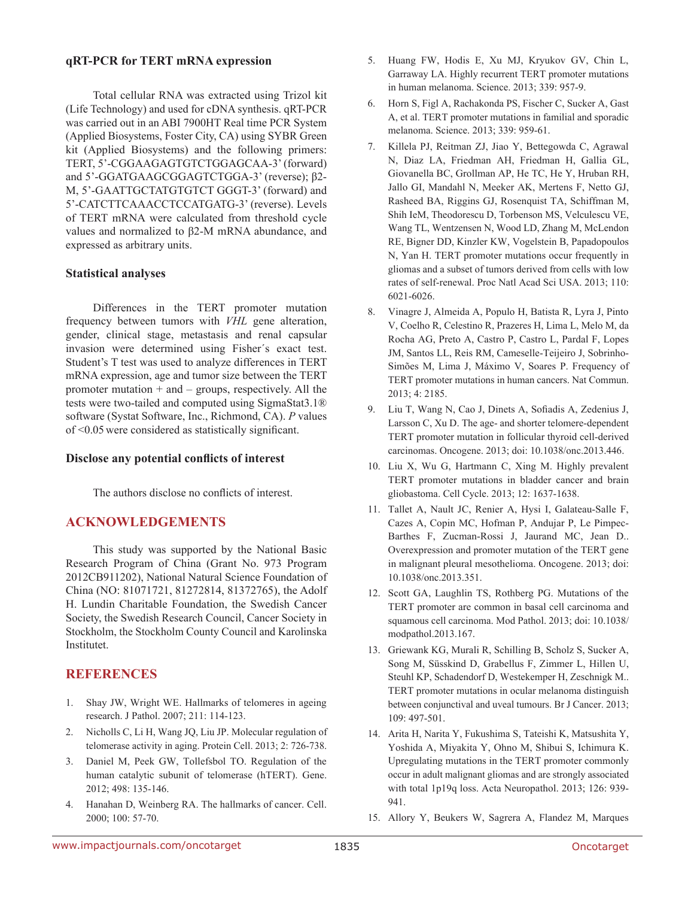### **qRT-PCR for TERT mRNA expression**

Total cellular RNA was extracted using Trizol kit (Life Technology) and used for cDNA synthesis. qRT-PCR was carried out in an ABI 7900HT Real time PCR System (Applied Biosystems, Foster City, CA) using SYBR Green kit (Applied Biosystems) and the following primers: TERT, 5'-CGGAAGAGTGTCTGGAGCAA-3' (forward) and 5'-GGATGAAGCGGAGTCTGGA-3' (reverse); β2- M, 5'-GAATTGCTATGTGTCT GGGT-3' (forward) and 5'-CATCTTCAAACCTCCATGATG-3' (reverse). Levels of TERT mRNA were calculated from threshold cycle values and normalized to β2-M mRNA abundance, and expressed as arbitrary units.

### **Statistical analyses**

Differences in the TERT promoter mutation frequency between tumors with *VHL* gene alteration, gender, clinical stage, metastasis and renal capsular invasion were determined using Fisher´s exact test. Student's T test was used to analyze differences in TERT mRNA expression, age and tumor size between the TERT promoter mutation + and – groups, respectively. All the tests were two-tailed and computed using SigmaStat3.1® software (Systat Software, Inc., Richmond, CA). *P* values of <0.05 were considered as statistically significant.

### **Disclose any potential conflicts of interest**

The authors disclose no conflicts of interest.

# **ACKNOWLEDGEMENTS**

This study was supported by the National Basic Research Program of China (Grant No. 973 Program 2012CB911202), National Natural Science Foundation of China (NO: 81071721, 81272814, 81372765), the Adolf H. Lundin Charitable Foundation, the Swedish Cancer Society, the Swedish Research Council, Cancer Society in Stockholm, the Stockholm County Council and Karolinska Institutet.

# **REFERENCES**

- 1. Shay JW, Wright WE. Hallmarks of telomeres in ageing research. J Pathol. 2007; 211: 114-123.
- 2. Nicholls C, Li H, Wang JQ, Liu JP. Molecular regulation of telomerase activity in aging. Protein Cell. 2013; 2: 726-738.
- 3. Daniel M, Peek GW, Tollefsbol TO. Regulation of the human catalytic subunit of telomerase (hTERT). Gene. 2012; 498: 135-146.
- 4. Hanahan D, Weinberg RA. The hallmarks of cancer. Cell. 2000; 100: 57-70.
- 5. Huang FW, Hodis E, Xu MJ, Kryukov GV, Chin L, Garraway LA. Highly recurrent TERT promoter mutations in human melanoma. Science. 2013; 339: 957-9.
- 6. Horn S, Figl A, Rachakonda PS, Fischer C, Sucker A, Gast A, et al. TERT promoter mutations in familial and sporadic melanoma. Science. 2013; 339: 959-61.
- 7. Killela PJ, Reitman ZJ, Jiao Y, Bettegowda C, Agrawal N, Diaz LA, Friedman AH, Friedman H, Gallia GL, Giovanella BC, Grollman AP, He TC, He Y, Hruban RH, Jallo GI, Mandahl N, Meeker AK, Mertens F, Netto GJ, Rasheed BA, Riggins GJ, Rosenquist TA, Schiffman M, Shih IeM, Theodorescu D, Torbenson MS, Velculescu VE, Wang TL, Wentzensen N, Wood LD, Zhang M, McLendon RE, Bigner DD, Kinzler KW, Vogelstein B, Papadopoulos N, Yan H. TERT promoter mutations occur frequently in gliomas and a subset of tumors derived from cells with low rates of self-renewal. Proc Natl Acad Sci USA. 2013; 110: 6021-6026.
- 8. Vinagre J, Almeida A, Populo H, Batista R, Lyra J, Pinto V, Coelho R, Celestino R, Prazeres H, Lima L, Melo M, da Rocha AG, Preto A, Castro P, Castro L, Pardal F, Lopes JM, Santos LL, Reis RM, Cameselle-Teijeiro J, Sobrinho-Simões M, Lima J, Máximo V, Soares P. Frequency of TERT promoter mutations in human cancers. Nat Commun. 2013; 4: 2185.
- 9. Liu T, Wang N, Cao J, Dinets A, Sofiadis A, Zedenius J, Larsson C, Xu D. The age- and shorter telomere-dependent TERT promoter mutation in follicular thyroid cell-derived carcinomas. Oncogene. 2013; doi: 10.1038/onc.2013.446.
- 10. Liu X, Wu G, Hartmann C, Xing M. Highly prevalent TERT promoter mutations in bladder cancer and brain gliobastoma. Cell Cycle. 2013; 12: 1637-1638.
- 11. Tallet A, Nault JC, Renier A, Hysi I, Galateau-Salle F, Cazes A, Copin MC, Hofman P, Andujar P, Le Pimpec-Barthes F, Zucman-Rossi J, Jaurand MC, Jean D.. Overexpression and promoter mutation of the TERT gene in malignant pleural mesothelioma. Oncogene. 2013; doi: 10.1038/onc.2013.351.
- 12. Scott GA, Laughlin TS, Rothberg PG. Mutations of the TERT promoter are common in basal cell carcinoma and squamous cell carcinoma. Mod Pathol. 2013; doi: 10.1038/ modpathol.2013.167.
- 13. Griewank KG, Murali R, Schilling B, Scholz S, Sucker A, Song M, Süsskind D, Grabellus F, Zimmer L, Hillen U, Steuhl KP, Schadendorf D, Westekemper H, Zeschnigk M.. TERT promoter mutations in ocular melanoma distinguish between conjunctival and uveal tumours. Br J Cancer. 2013; 109: 497-501.
- 14. Arita H, Narita Y, Fukushima S, Tateishi K, Matsushita Y, Yoshida A, Miyakita Y, Ohno M, Shibui S, Ichimura K. Upregulating mutations in the TERT promoter commonly occur in adult malignant gliomas and are strongly associated with total 1p19q loss. Acta Neuropathol. 2013; 126: 939- 941.
- 15. Allory Y, Beukers W, Sagrera A, Flandez M, Marques